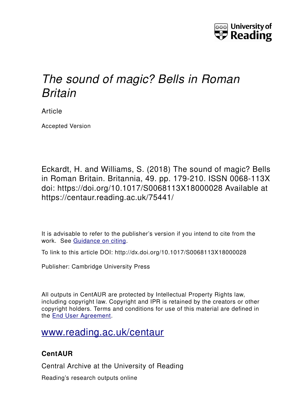

# *The sound of magic? Bells in Roman Britain*

Article

Accepted Version

Eckardt, H. and Williams, S. (2018) The sound of magic? Bells in Roman Britain. Britannia, 49. pp. 179-210. ISSN 0068-113X doi: https://doi.org/10.1017/S0068113X18000028 Available at https://centaur.reading.ac.uk/75441/

It is advisable to refer to the publisher's version if you intend to cite from the work. See [Guidance on citing.](http://centaur.reading.ac.uk/71187/10/CentAUR%20citing%20guide.pdf)

To link to this article DOI: http://dx.doi.org/10.1017/S0068113X18000028

Publisher: Cambridge University Press

All outputs in CentAUR are protected by Intellectual Property Rights law, including copyright law. Copyright and IPR is retained by the creators or other copyright holders. Terms and conditions for use of this material are defined in the [End User Agreement.](http://centaur.reading.ac.uk/licence)

## [www.reading.ac.uk/centaur](http://www.reading.ac.uk/centaur)

### **CentAUR**

Central Archive at the University of Reading

Reading's research outputs online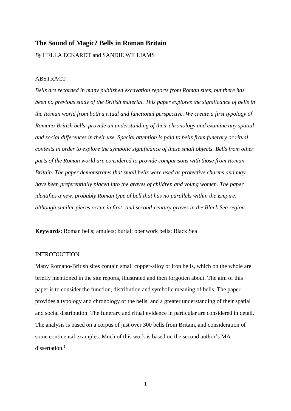#### **The Sound of Magic? Bells in Roman Britain**

*By* HELLA ECKARDT and SANDIE WILLIAMS

#### ABSTRACT

*Bells are recorded in many published excavation reports from Roman sites, but there has been no previous study of the British material. This paper explores the significance of bells in the Roman world from both a ritual and functional perspective. We create a first typology of Romano-British bells, provide an understanding of their chronology and examine any spatial and social differences in their use. Special attention is paid to bells from funerary or ritual contexts in order to explore the symbolic significance of these small objects. Bells from other parts of the Roman world are considered to provide comparisons with those from Roman Britain. The paper demonstrates that small bells were used as protective charms and may have been preferentially placed into the graves of children and young women. The paper identifies a new, probably Roman type of bell that has no parallels within the Empire, although similar pieces occur in first- and second-century graves in the Black Sea region.*

**Keywords**: Roman bells; amulets; burial; openwork bells; Black Sea

#### INTRODUCTION

Many Romano-British sites contain small copper-alloy or iron bells, which on the whole are briefly mentioned in the site reports, illustrated and then forgotten about. The aim of this paper is to consider the function, distribution and symbolic meaning of bells. The paper provides a typology and chronology of the bells, and a greater understanding of their spatial and social distribution. The funerary and ritual evidence in particular are considered in detail. The analysis is based on a corpus of just over 300 bells from Britain, and consideration of some continental examples. Much of this work is based on the second author's MA dissertation.<sup>1</sup>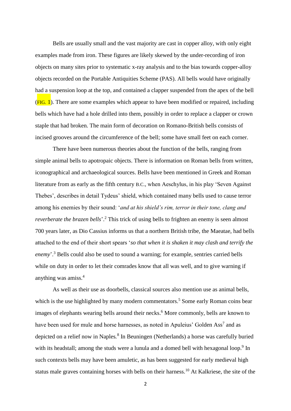Bells are usually small and the vast majority are cast in copper alloy, with only eight examples made from iron. These figures are likely skewed by the under-recording of iron objects on many sites prior to systematic x-ray analysis and to the bias towards copper-alloy objects recorded on the Portable Antiquities Scheme (PAS). All bells would have originally had a suspension loop at the top, and contained a clapper suspended from the apex of the bell  $(FIG. 1)$ . There are some examples which appear to have been modified or repaired, including bells which have had a hole drilled into them, possibly in order to replace a clapper or crown staple that had broken. The main form of decoration on Romano-British bells consists of incised grooves around the circumference of the bell; some have small feet on each corner.

There have been numerous theories about the function of the bells, ranging from simple animal bells to apotropaic objects. There is information on Roman bells from written, iconographical and archaeological sources. Bells have been mentioned in Greek and Roman literature from as early as the fifth century B.C., when Aeschylus, in his play 'Seven Against Thebes', describes in detail Tydeus' shield, which contained many bells used to cause terror among his enemies by their sound: '*and at his shield's rim, terror in their tone, clang and reverberate the brazen bells*<sup>'</sup>.<sup>2</sup> This trick of using bells to frighten an enemy is seen almost 700 years later, as Dio Cassius informs us that a northern British tribe, the Maeatae, had bells attached to the end of their short spears '*so that when it is shaken it may clash and terrify the enemy*'. <sup>3</sup> Bells could also be used to sound a warning; for example, sentries carried bells while on duty in order to let their comrades know that all was well, and to give warning if anything was amiss. 4

As well as their use as doorbells, classical sources also mention use as animal bells, which is the use highlighted by many modern commentators.<sup>5</sup> Some early Roman coins bear images of elephants wearing bells around their necks. <sup>6</sup> More commonly, bells are known to have been used for mule and horse harnesses, as noted in Apuleius' Golden Ass<sup>7</sup> and as depicted on a relief now in Naples*.* 8 In Beuningen (Netherlands) a horse was carefully buried with its headstall; among the studs were a lunula and a domed bell with hexagonal loop.<sup>9</sup> In such contexts bells may have been amuletic, as has been suggested for early medieval high status male graves containing horses with bells on their harness.<sup>10</sup> At Kalkriese, the site of the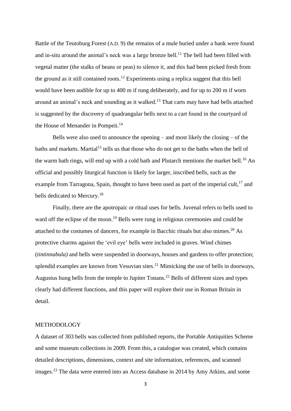Battle of the Teutoburg Forest (A.D. 9) the remains of a mule buried under a bank were found and in-situ around the animal's neck was a large bronze bell.<sup>11</sup> The bell had been filled with vegetal matter (the stalks of beans or peas) to silence it, and this had been picked fresh from the ground as it still contained roots.<sup>12</sup> Experiments using a replica suggest that this bell would have been audible for up to 400 m if rung deliberately, and for up to 200 m if worn around an animal's neck and sounding as it walked.<sup>13</sup> That carts may have had bells attached is suggested by the discovery of quadrangular bells next to a cart found in the courtyard of the House of Menander in Pompeii.<sup>14</sup>

Bells were also used to announce the opening – and most likely the closing – of the baths and markets. Martial<sup>15</sup> tells us that those who do not get to the baths when the bell of the warm bath rings, will end up with a cold bath and Plutarch mentions the market bell.<sup>16</sup> An official and possibly liturgical function is likely for larger, inscribed bells, such as the example from Tarragona, Spain, thought to have been used as part of the imperial cult,<sup>17</sup> and bells dedicated to Mercury.<sup>18</sup>

Finally, there are the apotropaic or ritual uses for bells. Juvenal refers to bells used to ward off the eclipse of the moon.<sup>19</sup> Bells were rung in religious ceremonies and could be attached to the costumes of dancers, for example in Bacchic rituals but also mimes. <sup>20</sup> As protective charms against the 'evil eye' bells were included in graves. Wind chimes (*tintinnabula)* and bells were suspended in doorways, houses and gardens to offer protection; splendid examples are known from Vesuvian sites.<sup>21</sup> Mimicking the use of bells in doorways, Augustus hung bells from the temple to Jupiter Tonans.<sup>22</sup> Bells of different sizes and types clearly had different functions, and this paper will explore their use in Roman Britain in detail.

#### METHODOLOGY

A dataset of 303 bells was collected from published reports, the Portable Antiquities Scheme and some museum collections in 2009. From this, a catalogue was created, which contains detailed descriptions, dimensions, context and site information, references, and scanned images.<sup>23</sup> The data were entered into an Access database in 2014 by Amy Atkins, and some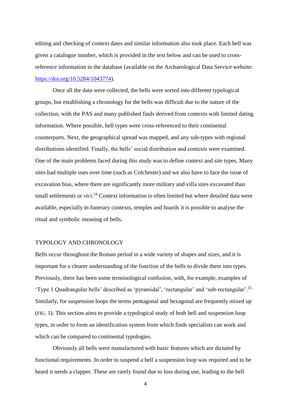editing and checking of context dates and similar information also took place. Each bell was given a catalogue number, which is provided in the text below and can be used to crossreference information in the database (available on the Archaeological Data Service website: [https://doi.org/10.5284/1043774\)](https://doi.org/10.5284/1043774).

Once all the data were collected, the bells were sorted into different typological groups, but establishing a chronology for the bells was difficult due to the nature of the collection, with the PAS and many published finds derived from contexts with limited dating information. Where possible, bell types were cross-referenced to their continental counterparts. Next, the geographical spread was mapped, and any sub-types with regional distributions identified. Finally, the bells' social distribution and contexts were examined. One of the main problems faced during this study was to define context and site types. Many sites had multiple uses over time (such as Colchester) and we also have to face the issue of excavation bias, where there are significantly more military and villa sites excavated than small settlements or *vici*.<sup>24</sup> Context information is often limited but where detailed data were available, especially in funerary contexts, temples and hoards it is possible to analyse the ritual and symbolic meaning of bells.

#### TYPOLOGY AND CHRONOLOGY

Bells occur throughout the Roman period in a wide variety of shapes and sizes, and it is important for a clearer understanding of the function of the bells to divide them into types. Previously, there has been some terminological confusion, with, for example, examples of 'Type 1 Quadrangular bells' described as 'pyramidal', 'rectangular' and 'sub-rectangular'. 25 Similarly, for suspension loops the terms pentagonal and hexagonal are frequently mixed up (FIG. 1). This section aims to provide a typological study of both bell and suspension loop types, in order to form an identification system from which finds specialists can work and which can be compared to continental typologies.

Obviously all bells were manufactured with basic features which are dictated by functional requirements. In order to suspend a bell a suspension loop was required and to be heard it needs a clapper. These are rarely found due to loss during use, leading to the bell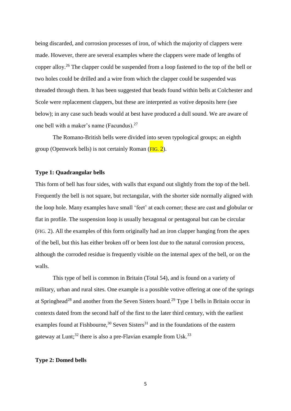being discarded, and corrosion processes of iron, of which the majority of clappers were made. However, there are several examples where the clappers were made of lengths of copper alloy.<sup>26</sup> The clapper could be suspended from a loop fastened to the top of the bell or two holes could be drilled and a wire from which the clapper could be suspended was threaded through them. It has been suggested that beads found within bells at Colchester and Scole were replacement clappers, but these are interpreted as votive deposits here (see below); in any case such beads would at best have produced a dull sound. We are aware of one bell with a maker's name (Facundus).<sup>27</sup>

The Romano-British bells were divided into seven typological groups; an eighth group (Openwork bells) is not certainly Roman  $(FIG, 2)$ .

#### **Type 1: Quadrangular bells**

This form of bell has four sides, with walls that expand out slightly from the top of the bell. Frequently the bell is not square, but rectangular, with the shorter side normally aligned with the loop hole. Many examples have small 'feet' at each corner; these are cast and globular or flat in profile. The suspension loop is usually hexagonal or pentagonal but can be circular (FIG. 2). All the examples of this form originally had an iron clapper hanging from the apex of the bell, but this has either broken off or been lost due to the natural corrosion process, although the corroded residue is frequently visible on the internal apex of the bell, or on the walls.

This type of bell is common in Britain (Total 54), and is found on a variety of military, urban and rural sites. One example is a possible votive offering at one of the springs at Springhead<sup>28</sup> and another from the Seven Sisters hoard.<sup>29</sup> Type 1 bells in Britain occur in contexts dated from the second half of the first to the later third century, with the earliest examples found at Fishbourne,<sup>30</sup> Seven Sisters<sup>31</sup> and in the foundations of the eastern gateway at Lunt;<sup>32</sup> there is also a pre-Flavian example from Usk.<sup>33</sup>

#### **Type 2: Domed bells**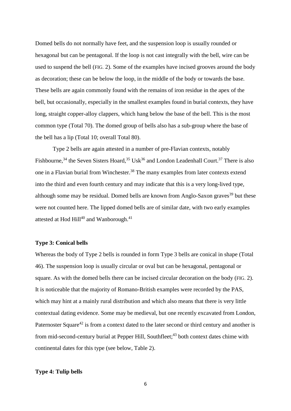Domed bells do not normally have feet, and the suspension loop is usually rounded or hexagonal but can be pentagonal. If the loop is not cast integrally with the bell, wire can be used to suspend the bell (FIG. 2). Some of the examples have incised grooves around the body as decoration; these can be below the loop, in the middle of the body or towards the base. These bells are again commonly found with the remains of iron residue in the apex of the bell, but occasionally, especially in the smallest examples found in burial contexts, they have long, straight copper-alloy clappers, which hang below the base of the bell. This is the most common type (Total 70). The domed group of bells also has a sub-group where the base of the bell has a lip (Total 10; overall Total 80).

Type 2 bells are again attested in a number of pre-Flavian contexts, notably Fishbourne,<sup>34</sup> the Seven Sisters Hoard,<sup>35</sup> Usk<sup>36</sup> and London Leadenhall Court.<sup>37</sup> There is also one in a Flavian burial from Winchester.<sup>38</sup> The many examples from later contexts extend into the third and even fourth century and may indicate that this is a very long-lived type, although some may be residual. Domed bells are known from Anglo-Saxon graves<sup>39</sup> but these were not counted here. The lipped domed bells are of similar date, with two early examples attested at Hod Hill<sup>40</sup> and Wanborough.<sup>41</sup>

#### **Type 3: Conical bells**

Whereas the body of Type 2 bells is rounded in form Type 3 bells are conical in shape (Total 46). The suspension loop is usually circular or oval but can be hexagonal, pentagonal or square. As with the domed bells there can be incised circular decoration on the body (FIG. 2). It is noticeable that the majority of Romano-British examples were recorded by the PAS, which may hint at a mainly rural distribution and which also means that there is very little contextual dating evidence. Some may be medieval, but one recently excavated from London, Paternoster Square<sup>42</sup> is from a context dated to the later second or third century and another is from mid-second-century burial at Pepper Hill, Southfleet;<sup>43</sup> both context dates chime with continental dates for this type (see below, Table 2).

#### **Type 4: Tulip bells**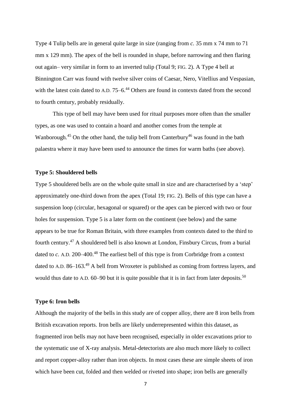Type 4 Tulip bells are in general quite large in size (ranging from *c.* 35 mm x 74 mm to 71 mm x 129 mm). The apex of the bell is rounded in shape, before narrowing and then flaring out again– very similar in form to an inverted tulip (Total 9; FIG. 2). A Type 4 bell at Binnington Carr was found with twelve silver coins of Caesar, Nero, Vitellius and Vespasian, with the latest coin dated to A.D. 75–6.<sup>44</sup> Others are found in contexts dated from the second to fourth century, probably residually.

This type of bell may have been used for ritual purposes more often than the smaller types, as one was used to contain a hoard and another comes from the temple at Wanborough.<sup>45</sup> On the other hand, the tulip bell from Canterbury<sup>46</sup> was found in the bath palaestra where it may have been used to announce the times for warm baths (see above).

#### **Type 5: Shouldered bells**

Type 5 shouldered bells are on the whole quite small in size and are characterised by a 'step' approximately one-third down from the apex (Total 19; FIG. 2). Bells of this type can have a suspension loop (circular, hexagonal or squared) or the apex can be pierced with two or four holes for suspension. Type 5 is a later form on the continent (see below) and the same appears to be true for Roman Britain, with three examples from contexts dated to the third to fourth century.<sup>47</sup> A shouldered bell is also known at London, Finsbury Circus, from a burial dated to *c*. A.D. 200–400.<sup>48</sup> The earliest bell of this type is from Corbridge from a context dated to A.D. 86–163.<sup>49</sup> A bell from Wroxeter is published as coming from fortress layers, and would thus date to A.D. 60–90 but it is quite possible that it is in fact from later deposits.<sup>50</sup>

#### **Type 6: Iron bells**

Although the majority of the bells in this study are of copper alloy, there are 8 iron bells from British excavation reports. Iron bells are likely underrepresented within this dataset, as fragmented iron bells may not have been recognised, especially in older excavations prior to the systematic use of X-ray analysis. Metal-detectorists are also much more likely to collect and report copper-alloy rather than iron objects. In most cases these are simple sheets of iron which have been cut, folded and then welded or riveted into shape; iron bells are generally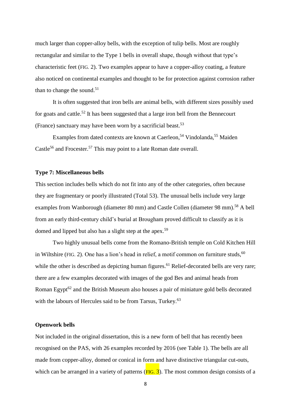much larger than copper-alloy bells, with the exception of tulip bells. Most are roughly rectangular and similar to the Type 1 bells in overall shape, though without that type's characteristic feet (FIG. 2). Two examples appear to have a copper-alloy coating, a feature also noticed on continental examples and thought to be for protection against corrosion rather than to change the sound.<sup>51</sup>

It is often suggested that iron bells are animal bells, with different sizes possibly used for goats and cattle.<sup>52</sup> It has been suggested that a large iron bell from the Bennecourt (France) sanctuary may have been worn by a sacrificial beast.<sup>53</sup>

Examples from dated contexts are known at Caerleon,<sup>54</sup> Vindolanda,<sup>55</sup> Maiden Castle<sup>56</sup> and Frocester.<sup>57</sup> This may point to a late Roman date overall.

#### **Type 7: Miscellaneous bells**

This section includes bells which do not fit into any of the other categories, often because they are fragmentary or poorly illustrated (Total 53). The unusual bells include very large examples from Wanborough (diameter 80 mm) and Castle Collen (diameter 98 mm).<sup>58</sup> A bell from an early third-century child's burial at Brougham proved difficult to classify as it is domed and lipped but also has a slight step at the apex.<sup>59</sup>

Two highly unusual bells come from the Romano-British temple on Cold Kitchen Hill in Wiltshire (FIG. 2). One has a lion's head in relief, a motif common on furniture studs, $60$ while the other is described as depicting human figures.<sup>61</sup> Relief-decorated bells are very rare; there are a few examples decorated with images of the god Bes and animal heads from Roman Egypt $62$  and the British Museum also houses a pair of miniature gold bells decorated with the labours of Hercules said to be from Tarsus, Turkey.<sup>63</sup>

#### **Openwork bells**

Not included in the original dissertation, this is a new form of bell that has recently been recognised on the PAS, with 26 examples recorded by 2016 (see Table 1). The bells are all made from copper-alloy, domed or conical in form and have distinctive triangular cut-outs, which can be arranged in a variety of patterns  $(FIG. 3)$ . The most common design consists of a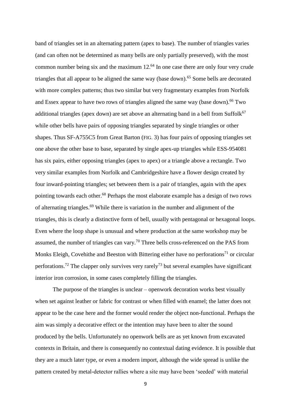band of triangles set in an alternating pattern (apex to base). The number of triangles varies (and can often not be determined as many bells are only partially preserved), with the most common number being six and the maximum  $12.^{64}$  In one case there are only four very crude triangles that all appear to be aligned the same way (base down).<sup>65</sup> Some bells are decorated with more complex patterns; thus two similar but very fragmentary examples from Norfolk and Essex appear to have two rows of triangles aligned the same way (base down).<sup>66</sup> Two additional triangles (apex down) are set above an alternating band in a bell from Suffolk<sup>67</sup> while other bells have pairs of opposing triangles separated by single triangles or other shapes. Thus SF-A755C5 from Great Barton (FIG. 3) has four pairs of opposing triangles set one above the other base to base, separated by single apex-up triangles while ESS-954081 has six pairs, either opposing triangles (apex to apex) or a triangle above a rectangle. Two very similar examples from Norfolk and Cambridgeshire have a flower design created by four inward-pointing triangles; set between them is a pair of triangles, again with the apex pointing towards each other. <sup>68</sup> Perhaps the most elaborate example has a design of two rows of alternating triangles.<sup>69</sup> While there is variation in the number and alignment of the triangles, this is clearly a distinctive form of bell, usually with pentagonal or hexagonal loops. Even where the loop shape is unusual and where production at the same workshop may be assumed, the number of triangles can vary.<sup>70</sup> Three bells cross-referenced on the PAS from Monks Eleigh, Covehithe and Beeston with Bittering either have no perforations<sup>71</sup> or circular perforations.<sup>72</sup> The clapper only survives very rarely<sup>73</sup> but several examples have significant interior iron corrosion, in some cases completely filling the triangles.

The purpose of the triangles is unclear – openwork decoration works best visually when set against leather or fabric for contrast or when filled with enamel; the latter does not appear to be the case here and the former would render the object non-functional. Perhaps the aim was simply a decorative effect or the intention may have been to alter the sound produced by the bells. Unfortunately no openwork bells are as yet known from excavated contexts in Britain, and there is consequently no contextual dating evidence. It is possible that they are a much later type, or even a modern import, although the wide spread is unlike the pattern created by metal-detector rallies where a site may have been 'seeded' with material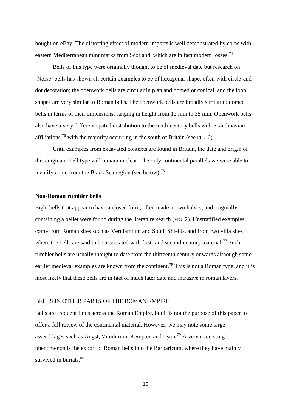bought on eBay. The distorting effect of modern imports is well demonstrated by coins with eastern Mediterranean mint marks from Scotland, which are in fact modern losses.<sup>74</sup>

Bells of this type were originally thought to be of medieval date but research on 'Norse' bells has shown all certain examples to be of hexagonal shape, often with circle-anddot decoration; the openwork bells are circular in plan and domed or conical, and the loop shapes are very similar to Roman bells. The openwork bells are broadly similar to domed bells in terms of their dimensions, ranging in height from 12 mm to 35 mm. Openwork bells also have a very different spatial distribution to the tenth-century bells with Scandinavian affiliations,<sup>75</sup> with the majority occurring in the south of Britain (see FIG. 6).

Until examples from excavated contexts are found in Britain, the date and origin of this enigmatic bell type will remain unclear. The only continental parallels we were able to identify come from the Black Sea region (see below).<sup>76</sup>

#### **Non-Roman rumbler bells**

Eight bells that appear to have a closed form, often made in two halves, and originally containing a pellet were found during the literature search (FIG. 2). Unstratified examples come from Roman sites such as Verulamium and South Shields, and from two villa sites where the bells are said to be associated with first- and second-century material.<sup>77</sup> Such rumbler bells are usually thought to date from the thirteenth century onwards although some earlier medieval examples are known from the continent.<sup>78</sup> This is not a Roman type, and it is most likely that these bells are in fact of much later date and intrusive in roman layers.

#### BELLS IN OTHER PARTS OF THE ROMAN EMPIRE

Bells are frequent finds across the Roman Empire, but it is not the purpose of this paper to offer a full review of the continental material. However, we may note some large assemblages such as Augst, Vitudurum, Kempten and Lyon.<sup>79</sup> A very interesting phenomenon is the export of Roman bells into the Barbaricum, where they have mainly survived in burials.<sup>80</sup>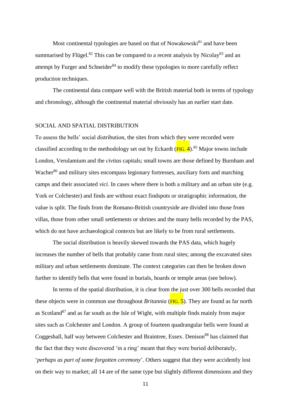Most continental typologies are based on that of Nowakowski $^{81}$  and have been summarised by Flügel.<sup>82</sup> This can be compared to a recent analysis by Nicolay<sup>83</sup> and an attempt by Furger and Schneider $84$  to modify these typologies to more carefully reflect production techniques.

The continental data compare well with the British material both in terms of typology and chronology, although the continental material obviously has an earlier start date.

#### SOCIAL AND SPATIAL DISTRIBUTION

To assess the bells' social distribution, the sites from which they were recorded were classified according to the methodology set out by Eckardt  $(FIG. 4)$ .<sup>85</sup> Major towns include London, Verulamium and the *civitas* capitals; small towns are those defined by Burnham and Wacher<sup>86</sup> and military sites encompass legionary fortresses, auxiliary forts and marching camps and their associated *vici*. In cases where there is both a military and an urban site (e.g. York or Colchester) and finds are without exact findspots or stratigraphic information, the value is split. The finds from the Romano-British countryside are divided into those from villas, those from other small settlements or shrines and the many bells recorded by the PAS, which do not have archaeological contexts but are likely to be from rural settlements.

The social distribution is heavily skewed towards the PAS data, which hugely increases the number of bells that probably came from rural sites; among the excavated sites military and urban settlements dominate. The context categories can then be broken down further to identify bells that were found in burials, hoards or temple areas (see below).

In terms of the spatial distribution, it is clear from the just over 300 bells recorded that these objects were in common use throughout *Britannia* (FIG. 5)*.* They are found as far north as Scotland<sup>87</sup> and as far south as the Isle of Wight, with multiple finds mainly from major sites such as Colchester and London. A group of fourteen quadrangular bells were found at Coggeshall, half way between Colchester and Braintree, Essex. Denison<sup>88</sup> has claimed that the fact that they were discovered 'in a ring' meant that they were buried deliberately, '*perhaps as part of some forgotten ceremony*'. Others suggest that they were accidently lost on their way to market; all 14 are of the same type but slightly different dimensions and they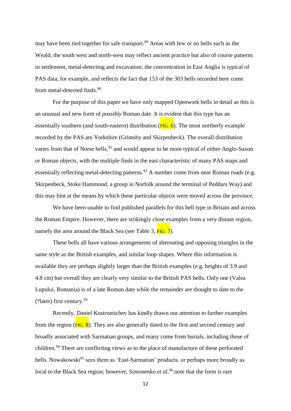may have been tied together for safe transport.<sup>89</sup> Areas with few or no bells such as the Weald, the south west and north-west may reflect ancient practice but also of course patterns in settlement, metal-detecting and excavation; the concentration in East Anglia is typical of PAS data, for example, and reflects the fact that 153 of the 303 bells recorded here come from metal-detected finds.<sup>90</sup>

For the purpose of this paper we have only mapped Openwork bells in detail as this is an unusual and new form of *possibly* Roman date. It is evident that this type has an essentially southern (and south-eastern) distribution ( $FIG. 6$ ). The most northerly example recorded by the PAS are Yorkshire (Grimsby and Skirpenbeck). The overall distribution varies from that of Norse bells,<sup>91</sup> and would appear to be more typical of either Anglo-Saxon or Roman objects, with the multiple finds in the east characteristic of many PAS maps and essentially reflecting metal-detecting patterns.<sup>92</sup> A number come from near Roman roads (e.g. Skirpenbeck, Stoke Hammond, a group in Norfolk around the terminal of Peddars Way) and this may hint at the means by which these particular objects were moved across the province.

We have been unable to find published parallels for this bell type in Britain and across the Roman Empire. However, there are strikingly close examples from a very distant region, namely the area around the Black Sea (see Table 3,  $FIG. 7$ ).

These bells all have various arrangements of alternating and opposing triangles in the same style as the British examples, and similar loop shapes. Where this information is available they are perhaps slightly larger than the British examples (e.g. heights of 3.9 and 4.8 cm) but overall they are clearly very similar to the British PAS bells. Only one (Valea Lupului, Romania) is of a late Roman date while the remainder are thought to date to the (?later) first century. 93

Recently, Daniel Kostromichev has kindly drawn our attention to further examples from the region ( $FIG. 8$ ). They are also generally dated to the first and second century and broadly associated with Sarmatian groups, and many come from burials, including those of children.<sup>94</sup> There are conflicting views as to the place of manufacture of these perforated bells. Nowakowski<sup>95</sup> sees them as 'East-Sarmatian' products, or perhaps more broadly as local to the Black Sea region; however, Simonenko *et al*.<sup>96</sup> note that the form is rare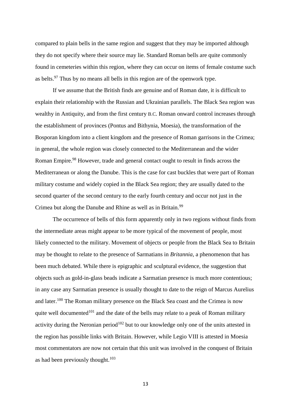compared to plain bells in the same region and suggest that they may be imported although they do not specify where their source may lie. Standard Roman bells are quite commonly found in cemeteries within this region, where they can occur on items of female costume such as belts.<sup>97</sup> Thus by no means all bells in this region are of the openwork type.

If we assume that the British finds are genuine and of Roman date, it is difficult to explain their relationship with the Russian and Ukrainian parallels. The Black Sea region was wealthy in Antiquity, and from the first century B.C. Roman onward control increases through the establishment of provinces (Pontus and Bithynia, Moesia), the transformation of the Bosporan kingdom into a client kingdom and the presence of Roman garrisons in the Crimea; in general, the whole region was closely connected to the Mediterranean and the wider Roman Empire.<sup>98</sup> However, trade and general contact ought to result in finds across the Mediterranean or along the Danube. This is the case for cast buckles that were part of Roman military costume and widely copied in the Black Sea region; they are usually dated to the second quarter of the second century to the early fourth century and occur not just in the Crimea but along the Danube and Rhine as well as in Britain.<sup>99</sup>

The occurrence of bells of this form apparently only in two regions without finds from the intermediate areas might appear to be more typical of the movement of people, most likely connected to the military. Movement of objects or people from the Black Sea to Britain may be thought to relate to the presence of Sarmatians in *Britannia*, a phenomenon that has been much debated. While there is epigraphic and sculptural evidence, the suggestion that objects such as gold-in-glass beads indicate a Sarmatian presence is much more contentious; in any case any Sarmatian presence is usually thought to date to the reign of Marcus Aurelius and later.<sup>100</sup> The Roman military presence on the Black Sea coast and the Crimea is now quite well documented<sup>101</sup> and the date of the bells may relate to a peak of Roman military activity during the Neronian period<sup>102</sup> but to our knowledge only one of the units attested in the region has possible links with Britain. However, while Legio VIII is attested in Moesia most commentators are now not certain that this unit was involved in the conquest of Britain as had been previously thought.<sup>103</sup>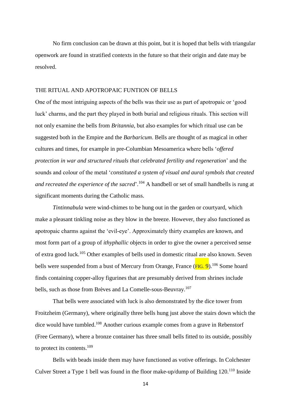No firm conclusion can be drawn at this point, but it is hoped that bells with triangular openwork are found in stratified contexts in the future so that their origin and date may be resolved.

#### THE RITUAL AND APOTROPAIC FUNTION OF BELLS

One of the most intriguing aspects of the bells was their use as part of apotropaic or 'good luck' charms, and the part they played in both burial and religious rituals. This section will not only examine the bells from *Britannia*, but also examples for which ritual use can be suggested both in the Empire and the *Barbaricum*. Bells are thought of as magical in other cultures and times, for example in pre-Columbian Mesoamerica where bells '*offered protection in war and structured rituals that celebrated fertility and regeneration*' and the sounds and colour of the metal '*constituted a system of visual and aural symbols that created*  and recreated the experience of the sacred'.<sup>104</sup> A handbell or set of small handbells is rung at significant moments during the Catholic mass.

*Tintinnabula* were wind-chimes to be hung out in the garden or courtyard, which make a pleasant tinkling noise as they blow in the breeze. However, they also functioned as apotropaic charms against the 'evil-eye'. Approximately thirty examples are known, and most form part of a group of *ithyphallic* objects in order to give the owner a perceived sense of extra good luck. <sup>105</sup> Other examples of bells used in domestic ritual are also known. Seven bells were suspended from a bust of Mercury from Orange, France (FIG. 9).<sup>106</sup> Some hoard finds containing copper-alloy figurines that are presumably derived from shrines include bells, such as those from Brèves and La Comelle-sous-Beuvray. 107

That bells were associated with luck is also demonstrated by the dice tower from Froitzheim (Germany), where originally three bells hung just above the stairs down which the dice would have tumbled. <sup>108</sup> Another curious example comes from a grave in Rebenstorf (Free Germany), where a bronze container has three small bells fitted to its outside, possibly to protect its contents.<sup>109</sup>

Bells with beads inside them may have functioned as votive offerings. In Colchester Culver Street a Type 1 bell was found in the floor make-up/dump of Building 120.<sup>110</sup> Inside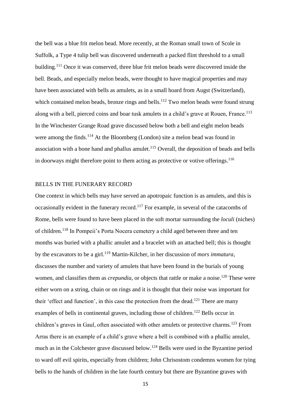the bell was a blue frit melon bead. More recently, at the Roman small town of Scole in Suffolk, a Type 4 tulip bell was discovered underneath a packed flint threshold to a small building.<sup>111</sup> Once it was conserved, three blue frit melon beads were discovered inside the bell. Beads, and especially melon beads, were thought to have magical properties and may have been associated with bells as amulets, as in a small hoard from Augst (Switzerland), which contained melon beads, bronze rings and bells.<sup>112</sup> Two melon beads were found strung along with a bell, pierced coins and boar tusk amulets in a child's grave at Rouen, France.<sup>113</sup> In the Winchester Grange Road grave discussed below both a bell and eight melon beads were among the finds.<sup>114</sup> At the Bloomberg (London) site a melon bead was found in association with a bone hand and phallus amulet. $115$  Overall, the deposition of beads and bells in doorways might therefore point to them acting as protective or votive offerings.<sup>116</sup>

#### BELLS IN THE FUNERARY RECORD

One context in which bells may have served an apotropaic function is as amulets, and this is occasionally evident in the funerary record.<sup>117</sup> For example, in several of the catacombs of Rome, bells were found to have been placed in the soft mortar surrounding the *loculi* (niches) of children.<sup>118</sup> In Pompeii's Porta Nocera cemetery a child aged between three and ten months was buried with a phallic amulet and a bracelet with an attached bell; this is thought by the excavators to be a girl. <sup>119</sup> Martin-Kilcher, in her discussion of *mors immatura*, discusses the number and variety of amulets that have been found in the burials of young women, and classifies them as *crepundia*, or objects that rattle or make a noise.<sup>120</sup> These were either worn on a string, chain or on rings and it is thought that their noise was important for their 'effect and function', in this case the protection from the dead.<sup>121</sup> There are many examples of bells in continental graves, including those of children.<sup>122</sup> Bells occur in children's graves in Gaul, often associated with other amulets or protective charms.<sup>123</sup> From Arras there is an example of a child's grave where a bell is combined with a phallic amulet, much as in the Colchester grave discussed below.<sup>124</sup> Bells were used in the Byzantine period to ward off evil spirits, especially from children; John Chrisostom condemns women for tying bells to the hands of children in the late fourth century but there are Byzantine graves with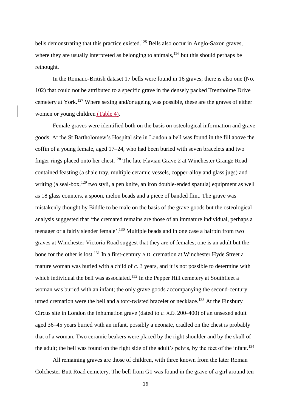bells demonstrating that this practice existed.<sup>125</sup> Bells also occur in Anglo-Saxon graves, where they are usually interpreted as belonging to animals,<sup>126</sup> but this should perhaps be rethought.

In the Romano-British dataset 17 bells were found in 16 graves; there is also one (No. 102) that could not be attributed to a specific grave in the densely packed Trentholme Drive cemetery at York.<sup>127</sup> Where sexing and/or ageing was possible, these are the graves of either women or young children (Table 4).

Female graves were identified both on the basis on osteological information and grave goods. At the St Bartholomew's Hospital site in London a bell was found in the fill above the coffin of a young female, aged 17–24, who had been buried with seven bracelets and two finger rings placed onto her chest.<sup>128</sup> The late Flavian Grave 2 at Winchester Grange Road contained feasting (a shale tray, multiple ceramic vessels, copper-alloy and glass jugs) and writing (a seal-box, <sup>129</sup> two styli, a pen knife, an iron double-ended spatula) equipment as well as 18 glass counters, a spoon, melon beads and a piece of banded flint. The grave was mistakenly thought by Biddle to be male on the basis of the grave goods but the osteological analysis suggested that 'the cremated remains are those of an immature individual, perhaps a teenager or a fairly slender female'.<sup>130</sup> Multiple beads and in one case a hairpin from two graves at Winchester Victoria Road suggest that they are of females; one is an adult but the bone for the other is lost.<sup>131</sup> In a first-century A.D. cremation at Winchester Hyde Street a mature woman was buried with a child of *c.* 3 years, and it is not possible to determine with which individual the bell was associated.<sup>132</sup> In the Pepper Hill cemetery at Southfleet a woman was buried with an infant; the only grave goods accompanying the second-century urned cremation were the bell and a torc-twisted bracelet or necklace.<sup>133</sup> At the Finsbury Circus site in London the inhumation grave (dated to *c.* A.D. 200–400) of an unsexed adult aged 36–45 years buried with an infant, possibly a neonate, cradled on the chest is probably that of a woman. Two ceramic beakers were placed by the right shoulder and by the skull of the adult; the bell was found on the right side of the adult's pelvis, by the feet of the infant.<sup>134</sup>

All remaining graves are those of children, with three known from the later Roman Colchester Butt Road cemetery. The bell from G1 was found in the grave of a girl around ten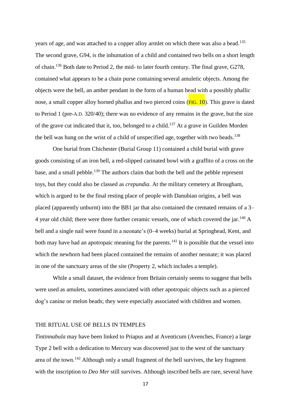years of age, and was attached to a copper alloy armlet on which there was also a bead.<sup>135</sup> The second grave, G94, is the inhumation of a child and contained two bells on a short length of chain.<sup>136</sup> Both date to Period 2, the mid- to later fourth century. The final grave, G278, contained what appears to be a chain purse containing several amuletic objects. Among the objects were the bell, an amber pendant in the form of a human head with a possibly phallic nose, a small copper alloy horned phallus and two pierced coins  $(FIG. 10)$ . This grave is dated to Period 1 (pre-A.D. 320/40); there was no evidence of any remains in the grave, but the size of the grave cut indicated that it, too, belonged to a child.<sup>137</sup> At a grave in Guilden Morden the bell was hung on the wrist of a child of unspecified age, together with two beads.<sup>138</sup>

One burial from Chichester (Burial Group 11) contained a child burial with grave goods consisting of an iron bell, a red-slipped carinated bowl with a graffito of a cross on the base, and a small pebble.<sup>139</sup> The authors claim that both the bell and the pebble represent toys, but they could also be classed as *crepundia*. At the military cemetery at Brougham, which is argued to be the final resting place of people with Danubian origins, a bell was placed (apparently unburnt) into the BB1 jar that also contained the cremated remains of a 3– 4 year old child; there were three further ceramic vessels, one of which covered the jar.<sup>140</sup> A bell and a single nail were found in a neonate's (0–4 weeks) burial at Springhead, Kent, and both may have had an apotropaic meaning for the parents.<sup>141</sup> It is possible that the vessel into which the newborn had been placed contained the remains of another neonate; it was placed in one of the sanctuary areas of the site (Property 2, which includes a temple).

While a small dataset, the evidence from Britain certainly seems to suggest that bells were used as amulets, sometimes associated with other apotropaic objects such as a pierced dog's canine or melon beads; they were especially associated with children and women.

#### THE RITUAL USE OF BELLS IN TEMPLES

*Tintinnabula* may have been linked to Priapus and at Aventicum (Avenches, France) a large Type 2 bell with a dedication to Mercury was discovered just to the west of the sanctuary area of the town.<sup>142</sup> Although only a small fragment of the bell survives, the key fragment with the inscription to *Deo Mer* still survives. Although inscribed bells are rare, several have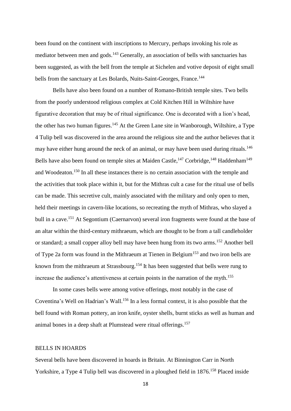been found on the continent with inscriptions to Mercury, perhaps invoking his role as mediator between men and gods.<sup>143</sup> Generally, an association of bells with sanctuaries has been suggested, as with the bell from the temple at Sichelen and votive deposit of eight small bells from the sanctuary at Les Bolards, Nuits-Saint-Georges, France.<sup>144</sup>

Bells have also been found on a number of Romano-British temple sites. Two bells from the poorly understood religious complex at Cold Kitchen Hill in Wiltshire have figurative decoration that may be of ritual significance. One is decorated with a lion's head, the other has two human figures.<sup>145</sup> At the Green Lane site in Wanborough, Wiltshire, a Type 4 Tulip bell was discovered in the area around the religious site and the author believes that it may have either hung around the neck of an animal, or may have been used during rituals.<sup>146</sup> Bells have also been found on temple sites at Maiden Castle,<sup>147</sup> Corbridge,<sup>148</sup> Haddenham<sup>149</sup> and Woodeaton. <sup>150</sup> In all these instances there is no certain association with the temple and the activities that took place within it, but for the Mithras cult a case for the ritual use of bells can be made. This secretive cult, mainly associated with the military and only open to men, held their meetings in cavern-like locations, so recreating the myth of Mithras, who slayed a bull in a cave.<sup>151</sup> At Segontium (Caernarvon) several iron fragments were found at the base of an altar within the third-century mithraeum, which are thought to be from a tall candleholder or standard; a small copper alloy bell may have been hung from its two arms.<sup>152</sup> Another bell of Type 2a form was found in the Mithraeum at Tienen in Belgium<sup>153</sup> and two iron bells are known from the mithraeum at Strassbourg.<sup>154</sup> It has been suggested that bells were rung to increase the audience's attentiveness at certain points in the narration of the myth. 155

In some cases bells were among votive offerings, most notably in the case of Coventina's Well on Hadrian's Wall. <sup>156</sup> In a less formal context, it is also possible that the bell found with Roman pottery, an iron knife, oyster shells, burnt sticks as well as human and animal bones in a deep shaft at Plumstead were ritual offerings. 157

#### BELLS IN HOARDS

Several bells have been discovered in hoards in Britain. At Binnington Carr in North Yorkshire, a Type 4 Tulip bell was discovered in a ploughed field in 1876.<sup>158</sup> Placed inside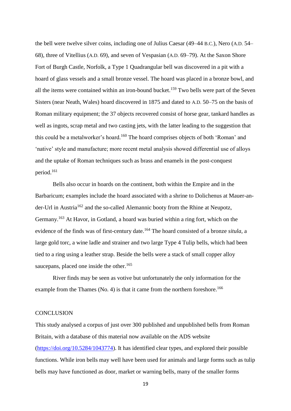the bell were twelve silver coins, including one of Julius Caesar (49–44 B.C.), Nero (A.D. 54– 68), three of Vitellius (A.D. 69), and seven of Vespasian (A.D. 69–79). At the Saxon Shore Fort of Burgh Castle, Norfolk, a Type 1 Quadrangular bell was discovered in a pit with a hoard of glass vessels and a small bronze vessel. The hoard was placed in a bronze bowl, and all the items were contained within an iron-bound bucket.<sup>159</sup> Two bells were part of the Seven Sisters (near Neath, Wales) hoard discovered in 1875 and dated to A.D. 50–75 on the basis of Roman military equipment; the 37 objects recovered consist of horse gear, tankard handles as well as ingots, scrap metal and two casting jets, with the latter leading to the suggestion that this could be a metalworker's hoard.<sup>160</sup> The hoard comprises objects of both 'Roman' and 'native' style and manufacture; more recent metal analysis showed differential use of alloys and the uptake of Roman techniques such as brass and enamels in the post-conquest period. 161

Bells also occur in hoards on the continent, both within the Empire and in the Barbaricum; examples include the hoard associated with a shrine to Dolichenus at Mauer-ander-Url in Austria<sup>162</sup> and the so-called Alemannic booty from the Rhine at Neupotz, Germany.<sup>163</sup> At Havor, in Gotland, a hoard was buried within a ring fort, which on the evidence of the finds was of first-century date. <sup>164</sup> The hoard consisted of a bronze *situla*, a large gold torc, a wine ladle and strainer and two large Type 4 Tulip bells, which had been tied to a ring using a leather strap. Beside the bells were a stack of small copper alloy saucepans, placed one inside the other.<sup>165</sup>

River finds may be seen as votive but unfortunately the only information for the example from the Thames (No. 4) is that it came from the northern foreshore.<sup>166</sup>

#### **CONCLUSION**

This study analysed a corpus of just over 300 published and unpublished bells from Roman Britain, with a database of this material now available on the ADS website [\(https://doi.org/10.5284/1043774\)](https://doi.org/10.5284/1043774). It has identified clear types, and explored their possible functions. While iron bells may well have been used for animals and large forms such as tulip bells may have functioned as door, market or warning bells, many of the smaller forms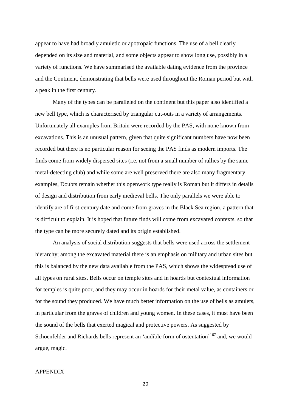appear to have had broadly amuletic or apotropaic functions. The use of a bell clearly depended on its size and material, and some objects appear to show long use, possibly in a variety of functions. We have summarised the available dating evidence from the province and the Continent, demonstrating that bells were used throughout the Roman period but with a peak in the first century.

Many of the types can be paralleled on the continent but this paper also identified a new bell type, which is characterised by triangular cut-outs in a variety of arrangements. Unfortunately all examples from Britain were recorded by the PAS, with none known from excavations. This is an unusual pattern, given that quite significant numbers have now been recorded but there is no particular reason for seeing the PAS finds as modern imports. The finds come from widely dispersed sites (i.e. not from a small number of rallies by the same metal-detecting club) and while some are well preserved there are also many fragmentary examples, Doubts remain whether this openwork type really is Roman but it differs in details of design and distribution from early medieval bells. The only parallels we were able to identify are of first-century date and come from graves in the Black Sea region, a pattern that is difficult to explain. It is hoped that future finds will come from excavated contexts, so that the type can be more securely dated and its origin established.

An analysis of social distribution suggests that bells were used across the settlement hierarchy; among the excavated material there is an emphasis on military and urban sites but this is balanced by the new data available from the PAS, which shows the widespread use of all types on rural sites. Bells occur on temple sites and in hoards but contextual information for temples is quite poor, and they may occur in hoards for their metal value, as containers or for the sound they produced. We have much better information on the use of bells as amulets, in particular from the graves of children and young women. In these cases, it must have been the sound of the bells that exerted magical and protective powers. As suggested by Schoenfelder and Richards bells represent an 'audible form of ostentation'<sup>167</sup> and, we would argue, magic.

#### APPENDIX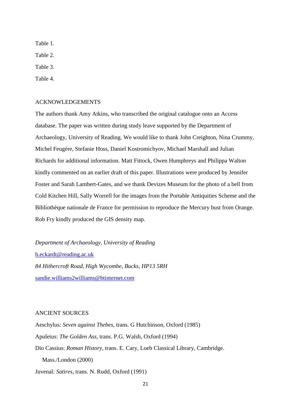Table 1. Table 2.

Table 3.

Table 4.

#### ACKNOWLEDGEMENTS

The authors thank Amy Atkins, who transcribed the original catalogue onto an Access database. The paper was written during study leave supported by the Department of Archaeology, University of Reading. We would like to thank John Creighton, Nina Crummy, Michel Feugère, Stefanie Hoss, Daniel Kostromichyov, Michael Marshall and Julian Richards for additional information. Matt Fittock, Owen Humphreys and Philippa Walton kindly commented on an earlier draft of this paper. Illustrations were produced by Jennifer Foster and Sarah Lambert-Gates, and we thank Devizes Museum for the photo of a bell from Cold Kitchen Hill, Sally Worrell for the images from the Portable Antiquities Scheme and the Bibliothèque nationale de France for permission to reproduce the Mercury bust from Orange. Rob Fry kindly produced the GIS density map.

*Department of Archaeology, University of Reading* [h.eckardt@reading.ac.uk](mailto:h.eckardt@reading.ac.uk) *84 Hithercroft Road, High Wycombe, Bucks, HP13 5RH* [sandie.williams2williams@btinternet.com](mailto:sandie.williams2williams@btinternet.com)

#### ANCIENT SOURCES

Aeschylus: *Seven against Thebes*, trans. G Hutchinson, Oxford (1985) Apuleius: *The Golden Ass*, trans. P.G. Walsh, Oxford (1994) Dio Cassius: *Roman History*, trans. E. Cary, Loeb Classical Library, Cambridge. Mass./London (2000) Juvenal: *Satires*, trans. N. Rudd, Oxford (1991)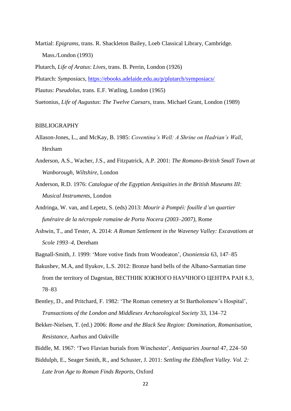- Martial: *Epigrams*, trans. R. Shackleton Bailey, Loeb Classical Library, Cambridge. Mass./London (1993)
- Plutarch, *Life of Aratus*: *Lives*, trans. B. Perrin, London (1926) Plutarch: *Symposiacs*, <https://ebooks.adelaide.edu.au/p/plutarch/symposiacs/> Plautus: *Pseudolus*, trans. E.F. Watling, London (1965) Suetonius, *Life of Augustus*: *The Twelve Caesars*, trans. Michael Grant, London (1989)

#### BIBLIOGRAPHY

- Allason-Jones, L., and McKay, B. 1985: *Coventina's Well: A Shrine on Hadrian's Wall*, Hexham
- Anderson, A.S., Wacher, J.S., and Fitzpatrick, A.P. 2001: *The Romano-British Small Town at Wanborough, Wiltshire*, London
- Anderson, R.D. 1976: *Catalogue of the Egyptian Antiquities in the British Museums III: Musical Instruments*, London
- Andringa, W. van, and Lepetz, S. (eds) 2013: *[Mourir à Pompéi: fouille d'un quartier](http://solo.bodleian.ox.ac.uk/primo_library/libweb/action/display.do?tabs=detailsTab&ct=display&fn=search&doc=oxfaleph019550115&indx=1&recIds=oxfaleph019550115&recIdxs=0&elementId=0&renderMode=poppedOut&displayMode=full&frbrVersion=&frbg=&vl(254947567UI0)=any&&dscnt=0&vl(1UIStartWith0)=contains&scp.scps=scope%3A%28OX%29&tb=t&vid=OXVU1&mode=Basic&vl(516065169UI1)=all_items&srt=rank&tab=local&dum=true&vl(freeText0)=andringa%20pompei&dstmp=1477560660740)  [funéraire de la nécropole romaine de Porta Nocera \(2003–2007\)](http://solo.bodleian.ox.ac.uk/primo_library/libweb/action/display.do?tabs=detailsTab&ct=display&fn=search&doc=oxfaleph019550115&indx=1&recIds=oxfaleph019550115&recIdxs=0&elementId=0&renderMode=poppedOut&displayMode=full&frbrVersion=&frbg=&vl(254947567UI0)=any&&dscnt=0&vl(1UIStartWith0)=contains&scp.scps=scope%3A%28OX%29&tb=t&vid=OXVU1&mode=Basic&vl(516065169UI1)=all_items&srt=rank&tab=local&dum=true&vl(freeText0)=andringa%20pompei&dstmp=1477560660740)*, Rome
- Ashwin, T., and Tester, A. 2014: *A Roman Settlement in the Waveney Valley: Excavations at Scole 1993–4*, Dereham
- Bagnall-Smith, J. 1999: 'More votive finds from Woodeaton', *Oxoniensia* 63, 147–85
- Bakushev, M.A, and Ilyukov, L.S. 2012: Bronze hand bells of the Albano-Sarmatian time from the territory of Dagestan, ВЕСТНИК ЮЖНОГО НАУЧНОГО ЦЕНТРА РАН 8.3, 78–83
- Bentley, D., and Pritchard, F. 1982: 'The Roman cemetery at St Bartholomew's Hospital', *Transactions of the London and Middlesex Archaeological Society* 33, 134–72
- Bekker-Nielsen, T. (ed.) 2006: *Rome and the Black Sea [Region: Domination, Romanisation,](http://solo.bodleian.ox.ac.uk/primo_library/libweb/action/display.do?tabs=detailsTab&ct=display&fn=search&doc=oxfaleph000535321&indx=8&recIds=oxfaleph000535321&recIdxs=7&elementId=7&renderMode=poppedOut&displayMode=full&frbrVersion=&frbg=&vl(254947567UI0)=any&&dscnt=0&vl(1UIStartWith0)=contains&scp.scps=scope%3A%28OX%29&tb=t&vid=OXVU1&mode=Basic&vl(516065169UI1)=all_items&srt=rank&tab=local&dum=true&vl(freeText0)=roman%20black%20sea&dstmp=1477581565508)  [Resistance](http://solo.bodleian.ox.ac.uk/primo_library/libweb/action/display.do?tabs=detailsTab&ct=display&fn=search&doc=oxfaleph000535321&indx=8&recIds=oxfaleph000535321&recIdxs=7&elementId=7&renderMode=poppedOut&displayMode=full&frbrVersion=&frbg=&vl(254947567UI0)=any&&dscnt=0&vl(1UIStartWith0)=contains&scp.scps=scope%3A%28OX%29&tb=t&vid=OXVU1&mode=Basic&vl(516065169UI1)=all_items&srt=rank&tab=local&dum=true&vl(freeText0)=roman%20black%20sea&dstmp=1477581565508)*, Aarhus and Oakville
- Biddle, M. 1967: 'Two Flavian burials from Winchester', *Antiquaries Journal* 47, 224–50
- Biddulph, E., Seager Smith, R., and Schuster, J. 2011: *Settling the Ebbsfleet Valley. Vol. 2: Late Iron Age to Roman Finds Reports*, Oxford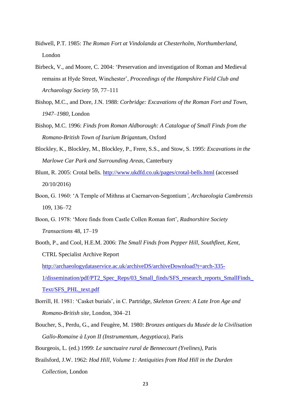- Bidwell, P.T. 1985: *The Roman Fort at Vindolanda at Chesterholm, Northumberland,* London
- Birbeck, V., and Moore, C. 2004: 'Preservation and investigation of Roman and Medieval remains at Hyde Street, Winchester', *Proceedings of the Hampshire Field Club and Archaeology Society* 59, 77–111
- Bishop, M.C., and Dore, J.N. 1988: *Corbridge: Excavations of the Roman Fort and Town, 1947*–*1980*, London
- Bishop, M.C. 1996: *Finds from Roman Aldborough: A Catalogue of Small Finds from the Romano-British Town of Isurium Brigantum*, Oxford
- Blockley, K., Blockley, M., Blockley, P., Frere, S.S., and Stow, S. 1995: *Excavations in the Marlowe Car Park and Surrounding Areas*, Canterbury
- Blunt, R. 2005: Crotal bells.<http://www.ukdfd.co.uk/pages/crotal-bells.html> (accessed 20/10/2016)
- Boon, G. 1960: 'A Temple of Mithras at Caernarvon-Segontium*'*, *Archaeologia Cambrensis* 109, 136–72
- Boon, G. 1978: 'More finds from Castle Collen Roman fort', *Radnorshire Society Transactions* 48, 17–19
- Booth, P., and Cool, H.E.M. 2006: *The Small Finds from Pepper Hill, Southfleet, Kent*, CTRL Specialist Archive Report [http://archaeologydataservice.ac.uk/archiveDS/archiveDownload?t=arch-335-](http://archaeologydataservice.ac.uk/archiveDS/archiveDownload?t=arch-335-1/dissemination/pdf/PT2_Spec_Reps/03_Small_finds/SFS_research_reports_SmallFinds_Text/SFS_PHL_text.pdf) [1/dissemination/pdf/PT2\\_Spec\\_Reps/03\\_Small\\_finds/SFS\\_research\\_reports\\_SmallFinds\\_](http://archaeologydataservice.ac.uk/archiveDS/archiveDownload?t=arch-335-1/dissemination/pdf/PT2_Spec_Reps/03_Small_finds/SFS_research_reports_SmallFinds_Text/SFS_PHL_text.pdf) [Text/SFS\\_PHL\\_text.pdf](http://archaeologydataservice.ac.uk/archiveDS/archiveDownload?t=arch-335-1/dissemination/pdf/PT2_Spec_Reps/03_Small_finds/SFS_research_reports_SmallFinds_Text/SFS_PHL_text.pdf)
- Borrill, H. 1981: 'Casket burials', in C. Partridge, *Skeleton Green: A Late Iron Age and Romano-British site*, London, 304–21
- Boucher, S., Perdu, G., and Feugère, M. 1980: *Bronzes antiques du Musée de la Civilisation Gallo-Romaine à Lyon II (Instrumentum, Aegyptiaca)*, Paris

Bourgeois, L. (ed.) 1999: *Le sanctuaire rural de Bennecourt (Yvelines)*, Paris

Brailsford, J.W. 1962: *Hod Hill, Volume 1: Antiquities from Hod Hill in the Durden Collection*, London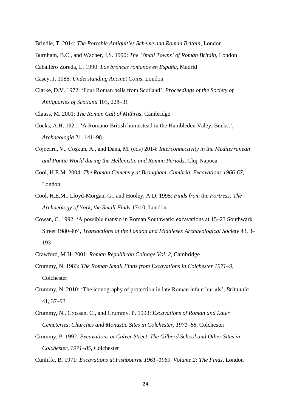Brindle, T. 2014: *The Portable Antiquities Scheme and Roman Britain*, London

Burnham, B.C., and Wacher, J.S. 1990: *The 'Small Towns' of Roman Britain*, London

Caballero Zoreda, L. 1990: *Los bronces romanos en España*, Madrid

Casey, J. 1986: *Understanding Ancinet Coins*, London

Clarke, D.V. 1972: 'Four Roman bells from Scotland', *Proceedings of the Society of Antiquaries of Scotland* 103, 228–31

Clauss, M. 2001: *The Roman Cult of Mithras*, Cambridge

- Cocks, A.H. 1921: 'A Romano-British homestead in the Hambleden Valey, Bucks.', *Archaeologia* 21, 141–98
- Cojocaru, V., Coşkun, A., and Dana, M. (eds) 2014: *Interconnectivity in the Mediterranean and Pontic World during the Hellenistic and Roman Periods*, Cluj-Napoca
- Cool, H.E.M. 2004: *The Roman Cemetery at Brougham, Cumbria. Excavations 1966-67*, London
- Cool, H.E.M., Lloyd-Morgan, G., and Hooley, A.D. 1995: *Finds from the Fortress: The Archaeology of York, the Small Finds* 17/10, London
- Cowan, C. 1992: 'A possible mansio in Roman Southwark: excavations at 15–23 Southwark Street 1980–86', *Transactions of the London and Middlesex Archaeological Society* 43, 3– 193
- Crawford, M.H. 2001: *Roman Republican Coinage Vol. 2*, Cambridge
- Crummy, N. 1983: *The Roman Small Finds from Excavations in Colchester 1971*–*9*, Colchester
- Crummy, N. 2010: 'The iconography of protection in late Roman infant burials', *Britannia* 41, 37–93
- Crummy, N., Crossan, C., and Crummy, P. 1993: *Excavations of Roman and Later Cemeteries, Churches and Monastic Sites in Colchester, 1971–88*, Colchester
- Crummy, P. 1992: *Excavations at Culver Street, The Gilberd School and Other Sites in Colchester, 1971*–*85*, Colchester
- Cunliffe, B. 1971: *Excavations at Fishbourne 1961*–*1969. Volume 2: The Finds*, London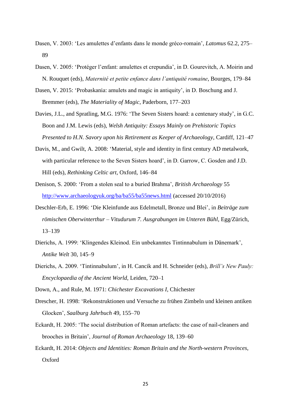- Dasen, V. 2003: 'Les amulettes d'enfants dans le monde gréco-romain', *Latomus* 62.2, 275– 89
- Dasen, V. 2005: 'Protéger l'enfant: amulettes et crepundia', in D. Gourevitch, A. Moirin and N. Rouquet (eds), *Maternité et petite enfance dans l'antiquité romaine*, Bourges, 179–84
- Dasen, V. 2015: 'Probaskania: amulets and magic in antiquity', in D. Boschung and J. Bremmer (eds), *The Materiality of Magic*, Paderborn, 177–203
- Davies, J.L., and Spratling, M.G. 1976: 'The Seven Sisters hoard: a centenary study', in G.C. Boon and J.M. Lewis (eds), *Welsh Antiquity: Essays Mainly on Prehistoric Topics Presented to H.N. Savory upon his Retirement as Keeper of Archaeology*, Cardiff, 121–47
- Davis, M., and Gwilt, A. 2008: 'Material, style and identity in first century AD metalwork, with particular reference to the Seven Sisters hoard', in D. Garrow, C. Gosden and J.D. Hill (eds), *Rethinking Celtic art*, Oxford, 146–84
- Denison, S. 2000: 'From a stolen seal to a buried Brahma', *British Archaeology* 55 <http://www.archaeologyuk.org/ba/ba55/ba55news.html> (accessed 20/10/2016)
- Deschler-Erb, E. 1996: 'Die Kleinfunde aus Edelmetall, Bronze und Blei', in *Beiträge zum römischen Oberwinterthur – Vitudurum 7. Ausgrabungen im Unteren Bühl*, Egg/Zürich, 13–139
- Dierichs, A. 1999: 'Klingendes Kleinod. Ein unbekanntes Tintinnabulum in Dänemark', *Antike Welt* 30, 145–9
- Dierichs, A. 2009. 'Tintinnabulum', in H. Cancik and H. Schneider (eds), *Brill's New Pauly: Encyclopaedia of the Ancient World*, Leiden, 720–1
- Down, A., and Rule, M. 1971: *Chichester Excavations I*, Chichester
- Drescher, H. 1998: 'Rekonstruktionen und Versuche zu frühen Zimbeln und kleinen antiken Glocken', *Saalburg Jahrbuch* 49, 155–70
- Eckardt, H. 2005: 'The social distribution of Roman artefacts: the case of nail-cleaners and brooches in Britain', *Journal of Roman Archaeology* 18, 139–60
- Eckardt, H. 2014: *Objects and Identities: Roman Britain and the North-western Provinces*, Oxford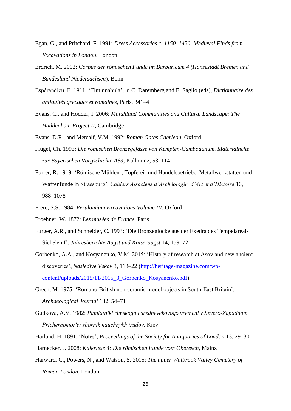- Egan, G., and Pritchard, F. 1991: *Dress Accessories c. 1150*–*1450. Medieval Finds from Excavations in London*, London
- Erdrich, M. 2002: *Corpus der römischen Funde im Barbaricum 4 (Hansestadt Bremen und Bundesland Niedersachsen*), Bonn
- Espérandieu, E. 1911: 'Tintinnabula', in C. Daremberg and E. Saglio (eds), *[Dictionnaire des](http://solo.bodleian.ox.ac.uk/primo_library/libweb/action/display.do?tabs=detailsTab&ct=display&fn=search&doc=oxfaleph013295730&indx=2&recIds=oxfaleph013295730&recIdxs=1&elementId=1&renderMode=poppedOut&displayMode=full&frbrVersion=&frbg=&vl%28254947567UI0%29=any&&dscnt=0&vl%281UIStartWith0%29=contains&scp.scps=scope%3A%28OX%29&tb=t&vid=OXVU1&mode=Basic&vl%28516065169UI1%29=all_items&srt=rank&tab=local&dum=true&vl%28freeText0%29=daremberg%20saglio&dstmp=1477485543169)  [antiquités grecques et romaines](http://solo.bodleian.ox.ac.uk/primo_library/libweb/action/display.do?tabs=detailsTab&ct=display&fn=search&doc=oxfaleph013295730&indx=2&recIds=oxfaleph013295730&recIdxs=1&elementId=1&renderMode=poppedOut&displayMode=full&frbrVersion=&frbg=&vl%28254947567UI0%29=any&&dscnt=0&vl%281UIStartWith0%29=contains&scp.scps=scope%3A%28OX%29&tb=t&vid=OXVU1&mode=Basic&vl%28516065169UI1%29=all_items&srt=rank&tab=local&dum=true&vl%28freeText0%29=daremberg%20saglio&dstmp=1477485543169)*, Paris, 341–4
- Evans, C., and Hodder, I. 2006: *Marshland Communities and Cultural Landscape: The Haddenham Project II*, Cambridge
- Evans, D.R., and Metcalf, V.M. 1992: *Roman Gates Caerleon*, Oxford
- Flügel, Ch. 1993: *Die römischen Bronzegefässe von Kempten-Cambodunum. Materialhefte zur Bayerischen Vorgschichte A63*, Kallmünz, 53–114
- Forrer, R. 1919: 'Römische Mühlen-, Töpferei- und Handelsbetriebe, Metallwerkstätten und Waffenfunde in Strassburg', *Cahiers Alsaciens d'Archéologie, d'Art et d'Histoire* 10, 988–1078
- Frere, S.S. 1984: *Verulamium Excavations Volume III*, Oxford
- Froehner, W. 1872: *Les musées de France*, Paris
- Furger, A.R., and Schneider, C. 1993: 'Die Bronzeglocke aus der Exedra des Tempelareals Sichelen I', *Jahresberichte Augst und Kaiseraugst* 14, 159–72
- Gorbenko, A.A., and Kosyanenko, V.M. 2015: 'History of research at Asov and new ancient discoveries', *Naslediye Vekov* 3, 113–22 [\(http://heritage-magazine.com/wp](http://heritage-magazine.com/wp-content/uploads/2015/11/2015_3_Gorbenko_Kosyanenko.pdf)[content/uploads/2015/11/2015\\_3\\_Gorbenko\\_Kosyanenko.pdf\)](http://heritage-magazine.com/wp-content/uploads/2015/11/2015_3_Gorbenko_Kosyanenko.pdf)
- Green, M. 1975: 'Romano-British non-ceramic model objects in South-East Britain', *Archaeological Journal* 132, 54–71
- Gudkova, A.V. 1982: *[Pamiatniki rimskogo i srednevekovogo vremeni v Severo-Zapadnom](http://solo.bodleian.ox.ac.uk/primo_library/libweb/action/display.do?tabs=detailsTab&ct=display&fn=search&doc=oxfaleph012006216&indx=1&recIds=oxfaleph012006216&recIdxs=0&elementId=0&renderMode=poppedOut&displayMode=full&frbrVersion=&vid=OXVU1&mode=Basic&vl(254947567UI0)=any&vl(516065169UI1)=all_items&tab=local&dscnt=0&vl(freeText0)=pamiatniki%20rimskogo&vl(1UIStartWith0)=contains&scp.scps=scope%3A%28ORA%29%2Cscope%3A%28OX%29&dstmp=1476796511768)  [Prichernomorʹe: sbornik nauchnykh trudov](http://solo.bodleian.ox.ac.uk/primo_library/libweb/action/display.do?tabs=detailsTab&ct=display&fn=search&doc=oxfaleph012006216&indx=1&recIds=oxfaleph012006216&recIdxs=0&elementId=0&renderMode=poppedOut&displayMode=full&frbrVersion=&vid=OXVU1&mode=Basic&vl(254947567UI0)=any&vl(516065169UI1)=all_items&tab=local&dscnt=0&vl(freeText0)=pamiatniki%20rimskogo&vl(1UIStartWith0)=contains&scp.scps=scope%3A%28ORA%29%2Cscope%3A%28OX%29&dstmp=1476796511768)*, Kiev
- Harland, H. 1891: 'Notes', *Proceedings of the Society for Antiquaries of London* 13, 29–30
- Harnecker, J. 2008: *Kalkriese 4: Die römischen Funde vom Oberesch*, Mainz
- Harward, C., Powers, N., and Watson, S. 2015: *The upper Walbrook Valley Cemetery of Roman London*, London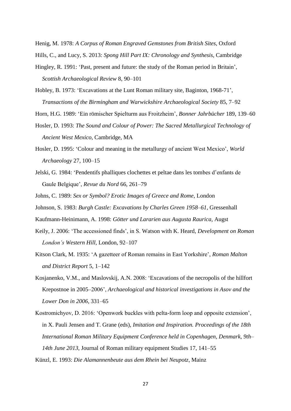Henig, M. 1978: *A Corpus of Roman Engraved Gemstones from British Sites*, Oxford Hills, C., and Lucy, S. 2013: *Spong Hill Part IX: Chronology and Synthesis*, Cambridge

- Hingley, R. 1991: 'Past, present and future: the study of the Roman period in Britain', *Scottish Archaeological Review* 8, 90–101
- Hobley, B. 1973: 'Excavations at the Lunt Roman military site, Baginton, 1968-71', *Transactions of the Birmingham and Warwickshire Archaeological Society* 85, 7–92

Horn, H.G. 1989: 'Ein römischer Spielturm aus Froitzheim', *Bonner Jahrbücher* 189, 139–60

- Hosler, D. 1993: *The Sound and Colour of Power: The Sacred Metallurgical Technology of Ancient West Mexico*, Cambridge, MA
- Hosler, D. 1995: 'Colour and meaning in the metallurgy of ancient West Mexico', *World Archaeology* 27, 100–15
- Jelski, G. 1984: 'Pendentifs phalliques clochettes et peltae dans les tombes d'enfants de Gaule Belgique', *Revue du Nord* 66, 261–79
- Johns, C. 1989: *Sex or Symbol? Erotic Images of Greece and Rome*, London
- Johnson, S. 1983: *Burgh Castle: Excavations by Charles Green 1958*–*61*, Gressenhall
- Kaufmann-Heinimann, A. 1998: *Götter und Lararien aus Augusta Raurica*, Augst
- Keily, J. 2006: 'The accessioned finds', in S. Watson with K. Heard, *Development on Roman London's Western Hill*, London, 92–107
- Kitson Clark, M. 1935: 'A gazetteer of Roman remains in East Yorkshire', *Roman Malton and District Report* 5, 1–142
- Kosjanenko, V.M., and Maslovskij, A.N. 2008: 'Excavations of the necropolis of the hillfort Krepostnoe in 2005–2006', *Archaeological and historical investigations in Asov and the Lower Don in 2006*, 331–65
- Kostromichyov, D. 2016: 'Openwork buckles with pelta-form loop and opposite extension', in X. Pauli Jensen and T. Grane (eds), *Imitation and Inspiration. Proceedings of the 18th International Roman Military Equipment Conference held in Copenhagen, Denmark, 9th– 14th June 2013*, Journal of Roman military equipment Studies 17, 141–55
- Künzl, E. 1993: *Die Alamannenbeute aus dem Rhein bei Neupotz*, Mainz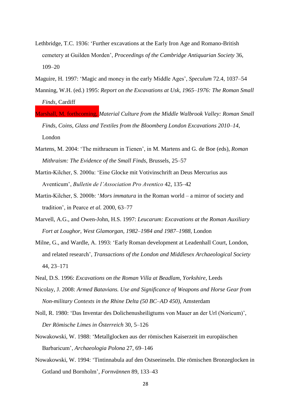- Lethbridge, T.C. 1936: 'Further excavations at the Early Iron Age and Romano-British cemetery at Guilden Morden', *Proceedings of the Cambridge Antiquarian Society* 36, 109–20
- Maguire, H. 1997: 'Magic and money in the early Middle Ages', *Speculum* 72.4, 1037–54
- Manning, W.H. (ed.) 1995: *Report on the Excavations at Usk, 1965*–*1976: The Roman Small Finds*, Cardiff
- Marshall, M. forthcoming, *Material Culture from the Middle Walbrook Valley: Roman Small Finds, Coins, Glass and Textiles from the Bloomberg London Excavations 2010*–*14*, London
- Martens, M. 2004: 'The mithraeum in Tienen', in M. Martens and G. de Boe (eds), *Roman Mithraism: The Evidence of the Small Finds*, Brussels, 25–57
- Martin-Kilcher, S. 2000a: 'Eine Glocke mit Votivinschrift an Deus Mercurius aus Aventicum', *Bulletin de l'Association Pro Aventico* 42, 135–42
- Martin-Kilcher, S. 2000b: '*Mors immatura* in the Roman world a mirror of society and tradition', in Pearce *et al.* 2000, 63–77
- Marvell, A.G., and Owen-John, H.S. 1997: *Leucarum: Excavations at the Roman Auxiliary Fort at Loughor, West Glamorgan, 1982*–*1984 and 1987*–*1988,* London
- Milne, G., and Wardle, A. 1993: 'Early Roman development at Leadenhall Court, London, and related research', *Transactions of the London and Middlesex Archaeological Society* 44, 23–171
- Neal, D.S. 1996: *Excavations on the Roman Villa at Beadlam, Yorkshire*, Leeds
- Nicolay, J. 2008: *Armed Batavians. Use and Significance of Weapons and Horse Gear from Non-military Contexts in the Rhine Delta (50 BC*–*AD 450)*, Amsterdam
- Noll, R. 1980: 'Das Inventar des Dolichenusheiligtums von Mauer an der Url (Noricum)', *Der Römische Limes in Österreich* 30, 5–126
- Nowakowski, W. 1988: 'Metallglocken aus der römischen Kaiserzeit im europäischen Barbaricum', *Archaeologia Polona* 27, 69–146
- Nowakowski, W. 1994: 'Tintinnabula auf den Ostseeinseln. Die römischen Bronzeglocken in Gotland und Bornholm', *Fornvännen* 89, 133–43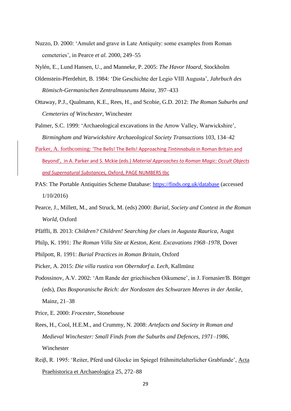Nuzzo, D. 2000: 'Amulet and grave in Late Antiquity: some examples from Roman cemeteries', in Pearce *et al.* 2000, 249–55

Nylén, E., Lund Hansen, U., and Manneke, P. 2005: *The Havor Hoard*, Stockholm

- Oldenstein-Pferdehirt, B. 1984: 'Die Geschichte der Legio VIII Augusta', *Jahrbuch des Römisch-Germanischen Zentralmuseums Mainz*, 397–433
- Ottaway, P.J., Qualmann, K.E., Rees, H., and Scobie, G.D. 2012: *The Roman Suburbs and Cemeteries of Winchester*, Winchester
- Palmer, S.C. 1999: 'Archaeological excavations in the Arrow Valley, Warwickshire', *Birmingham and Warwickshire Archaeological Society Transactions* 103, 134–42
- Parker, A. forthcoming: 'The Bells! The Bells! Approaching *Tintinnabula* in Roman Britain and Beyond', in A. Parker and S. Mckie (eds.) *Material Approaches to Roman Magic: Occult Objects and Supernatural Substances,* Oxford, PAGE NUMBERS tbc
- PAS: The Portable Antiquities Scheme Database:<https://finds.org.uk/database> (accessed 1/10/2016)
- Pearce, J., Millett, M., and Struck, M. (eds) 2000: *Burial, Society and Context in the Roman World*, Oxford
- Pfäffli, B. 2013: *Children? Children! Searching for clues in Augusta Raurica*, Augst
- Philp, K. 1991: *The Roman Villa Site at Keston, Kent. Excavations 1968*–*1978*, Dover
- Philpott, R. 1991: *Burial Practices in Roman Britain*, Oxford
- Picker, A. 2015: *Die villa rustica von Oberndorf a. Lech*, Kallmünz
- Podossinov, A.V. 2002: 'Am Rande der griechischen Oikumene', in J. Fornasier/B. Böttger (eds), *Das Bosporanische Reich: der Nordosten des Schwarzen Meeres in der Antike*, Mainz, 21–38

Price, E. 2000: *Frocester*, Stonehouse

- Rees, H., Cool, H.E.M., and Crummy, N. 2008: *Artefacts and Society in Roman and Medieval Winchester: Small Finds from the Suburbs and Defences, 1971*–*1986*, Winchester
- Reiβ, R. 1995: 'Reiter, Pferd und Glocke im Spiegel frühmittelalterlicher Grabfunde', Acta Praehistorica et Archaeologica 25, 272–88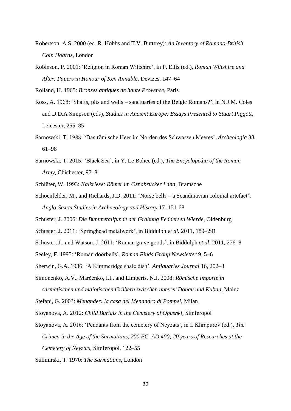- Robertson, A.S. 2000 (ed. R. Hobbs and T.V. Butttrey): *An Inventory of Romano-British Coin Hoards*, London
- Robinson, P. 2001: 'Religion in Roman Wiltshire', in P. Ellis (ed.), *Roman Wiltshire and After: Papers in Honour of Ken Annable*, Devizes, 147–64

Rolland, H. 1965: *Bronzes antiques de haute Provence*, Paris

- Ross, A. 1968: 'Shafts, pits and wells sanctuaries of the Belgic Romans?', in N.J.M. Coles and D.D.A Simpson (eds), *Studies in Ancient Europe: Essays Presented to Stuart Piggott*, Leicester, 255–85
- Sarnowski, T. 1988: 'Das römische Heer im Norden des Schwarzen Meeres', *Archeologia* 38, 61–98
- Sarnowski, T. 2015: 'Black Sea', in Y. Le Bohec (ed.), *The Encyclopedia of the Roman Army*, Chichester, 97–8

Schlüter, W. 1993: *Kalkriese: Römer im Osnabrücker Land*, Bramsche

Schoenfelder, M., and Richards, J.D. 2011: 'Norse bells – a Scandinavian colonial artefact', *Anglo-Saxon Studies in Archaeology and History* 17, 151-68

Schuster, J. 2006: *Die Buntmetallfunde der Grabung Feddersen Wierde*, Oldenburg

Schuster, J. 2011: 'Springhead metalwork', in Biddulph *et al.* 2011, 189–291

Schuster, J., and Watson, J. 2011: 'Roman grave goods', in Biddulph *et al.* 2011, 276–8

Seeley, F. 1995: 'Roman doorbells', *Roman Finds Group Newsletter* 9, 5–6

Sherwin, G.A. 1936: 'A Kimmeridge shale dish', *Antiquaries Journal* 16, 202–3

- Simonenko, A.V., Marčenko, I.I., and Limberis, N.J. 2008: *Römische Importe in sarmatischen und maiotischen Gräbern zwischen unterer Donau und Kuban*, Mainz
- Stefani, G. 2003: *Menander: la casa del Menandro di Pompei*, Milan

Stoyanova, A. 2012: *Child Burials in the Cemetery of Opushki*, Simferopol

Stoyanova, A. 2016: 'Pendants from the cemetery of Neyzats', in I. Khrapurov (ed.), *The Crimea in the Age of the Sarmatians, 200 BC–AD 400; 20 years of Researches at the* 

*Cemetery of Neyzats*, Simferopol, 122–55

Sulimirski, T. 1970: *The Sarmatians*, London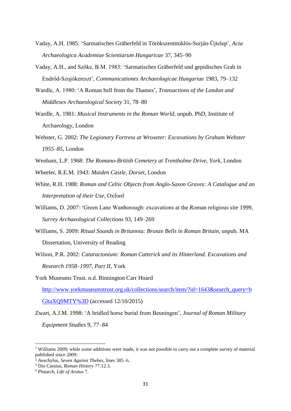- Vaday, A.H. 1985: 'Sarmatisches Gräberfeld in Törökszentmiklós-Surján-Ŭjtelep', *Acta Archaeologica Academiae Scientiarum Hungaricae* 37, 345–90
- Vaday, A.H., and Szőke, B.M. 1983: 'Sarmatisches Gräberfeld und gepidisches Grab in Endrőd-Szujókereszt', *Communicationes Archaeologicae Hungariae* 1983, 79–132
- Wardle, A. 1980: 'A Roman bell from the Thames', *Transactions of the London and Middlesex Archaeological Society* 31, 78–80
- Wardle, A. 1981: *Musical Instruments in the Roman World*, unpub. PhD, Institute of Archaeology, London
- Webster, G. 2002: *The Legionary Fortress at Wroxeter: Excavations by Graham Webster 1955*–*85*, London
- Wenham, L.P. 1968: *The Romano-British Cemetery at Trentholme Drive, York*, London
- Wheeler, R.E.M. 1943: *Maiden Castle, Dorset*, London
- White, R.H. 1988: *Roman and Celtic Objects from Anglo-Saxon Graves: A Catalogue and an Interpretation of their Use*, Oxford
- Williams, D. 2007: 'Green Lane Wanborough: excavations at the Roman religious site 1999, *Surrey Archaeological Collections* 93, 149–269
- Williams, S. 2009: *Ritual Sounds in Britannia: Bronze Bells in Roman Britain*, unpub. MA Dissertation, University of Reading
- Wilson, P.R. 2002: *Cataractonium: Roman Catterick and its Hinterland. Excavations and Research 1958*–*1997, Part II*, York
- York Museums Trust. n.d. Binnington Carr Hoard

[http://www.yorkmuseumstrust.org.uk/collections/search/item/?id=1643&search\\_query=b](http://www.yorkmuseumstrust.org.uk/collections/search/item/?id=1643&search_query=bGltaXQ9MTY%3D) [GltaXQ9MTY%3D](http://www.yorkmuseumstrust.org.uk/collections/search/item/?id=1643&search_query=bGltaXQ9MTY%3D) (accessed 12/10/2015)

Zwart, A.J.M. 1998: 'A bridled horse burial from Beuningen', *Journal of Roman Military Equipment Studies* 9, 77–84

**.** 

<sup>&</sup>lt;sup>1</sup> Williams 2009; while some additions were made, it was not possible to carry out a complete survey of material published since 2009.

<sup>2</sup> Aeschylus, *Seven Against Thebes*, lines 385–6.

<sup>3</sup> Dio Cassius, *Roman History* 77.12.3.

<sup>4</sup> Plutarch, *Life of Aratus* 7.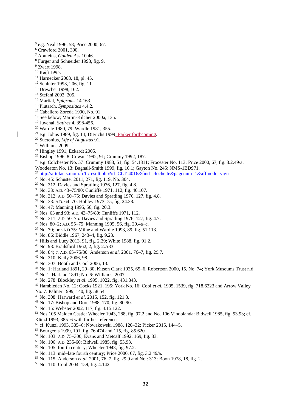e.g. Neal 1996, 58; Price 2000, 67. Crawford 2001, 390. Apuleius, *Golden Ass* 10.46. Furger and Schneider 1993, fig. 9. <sup>9</sup> Zwart 1998. <sup>10</sup> Reiβ 1995. Harnecker 2008, 18, pl. 45. <sup>12</sup> Schlüter 1993, 206, fig. 11. Drescher 1998, 162. Stefani 2003, 205. Martial, *Epigrams* 14.163. Plutarch, *Symposiacs* 4.4.2. Caballero Zoreda 1990, No. 91. See below; Martin-Kilcher 2000a, 135. Juvenal, *Satires* 4, 398-456. Wardle 1980, 79; Wardle 1981, 355. e.g. Johns 1989, fig. 14; Dierichs 1999; Parker forthcoming. Suetonius, *Life of Augustus* 91. Williams 2009. Hingley 1991; Eckardt 2005. Bishop 1996, 8; Cowan 1992, 91; Crummy 1992, 187. e.g. Colchester No. 57: Crummy 1983, 51, fig. 54.1811; Frocester No. 113: Price 2000, 67, fig. 3.2.49/a; Woodeaton No. 13: Bagnall-Smith 1999, fig. 16.1; Gayton No. 245: NMS-1BD971. <sup>27</sup> <http://artefacts.mom.fr/fr/result.php?id=CLT-4016&find=clochette&pagenum=1&affmode=vign> No. 45: Schuster 2011, 271, fig. 119, No. 304. No. 312: Davies and Spratling 1976, 127, fig. 4.8. No. 33: A.D. 43–75/80: Cunliffe 1971, 112, fig. 46.107. No. 312: A.D. 50–75: Davies and Spratling 1976, 127, fig. 4.8. No. 38: A.D. 64–70: Hobley 1973, 75, fig. 24.38. No. 47: Manning 1995, 56, fig. 20.3. Nos. 63 and 93; A.D. 43–75/80: Cunliffe 1971, 112.

- 
- No. 311; A.D. 50–75: Davies and Spratling 1976, 127, fig. 4.7.
- Nos. 80–2; A.D. 55–75: Manning 1995, 56, fig. 20.4a–c.
- No. 70; pre-A.D.75: Milne and Wardle 1993, 89, fig. 51.113.
- No. 86: Biddle 1967, 243–4, fig. 9.23.
- Hills and Lucy 2013, 91, fig. 2.29; White 1988, fig. 91.2.
- No. 98: Brailsford 1962, 2, fig. 2.A33.
- No. 84; *c.* A.D. 65–75/80: Anderson *et al.* 2001, 76–7, fig. 29.7.
- No. 310: Keily 2006, 98.

- No. 307: Booth and Cool 2006, 13.
- No. 1: Harland 1891, 29–30, Kitson Clark 1935, 65–6, Robertson 2000, 15, No. 74; York Museums Trust n.d.
- No.1: Harland 1891; No. 6: Williams, 2007.
- No. 278: Blockley *et al*. 1995, 1022, fig. 431.343.
- Hambleden No. 12: Cocks 1921, 195; York No. 16: Cool *et al.* 1995, 1539, fig. 718.6323 and Arrow Valley No. 7: Palmer 1999, 140, fig. 58.54.
- No. 308: Harward *et al*. 2015, 152, fig. 121.3.
- No. 17: Bishop and Dore 1988, 170, fig. 80.90.
- No. 15: Webster 2002, 117, fig. 4.15.122.
- Nos 105 Maiden Castle: Wheeler 1943, 288, fig. 97.2 and No. 106 Vindolanda: Bidwell 1985, fig. 53.93; cf.
- Künzl 1993, 385–6 with further references.
- cf. Künzl 1993, 385–6; Nowakowski 1988, 120–32; Picker 2015, 144–5.
- Bourgeois 1999, 101, fig. 76.474 and 115, fig. 85.620.
- No. 103: A.D. 75–300; Evans and Metcalf 1992, 169, fig. 33.
- No. 106: A.D. 235-60; Bidwell 1985, fig. 53.93.
- No. 105: fourth century; Wheeler 1943, fig. 97.2.
- No. 113: mid–late fourth century; Price 2000, 67, fig. 3.2.49/a.
- No. 115: Anderson *et al.* 2001, 76–7, fig. 29.9 and No.: 313: Boon 1978, 18, fig. 2.
- No. 110: Cool 2004, 159, fig. 4.142.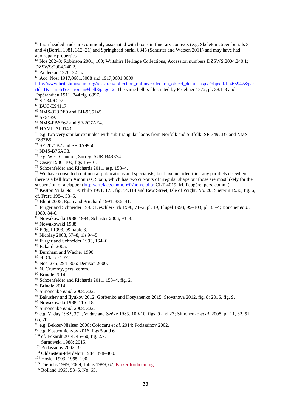<sup>60</sup> Lion-headed studs are commonly associated with boxes in funerary contexts (e.g. Skeleton Green burials 3 and 4 (Borrill 1981, 312–21) and Springhead burial 6345 (Schuster and Watson 2011) and may have had apotropaic properties.

 Nos 282–3; Robinson 2001, 160; Wiltshire Heritage Collections, Accession numbers DZSWS:2004.240.1; DZSWS:2004.240.2.

Anderson 1976, 32–5.

Acc. Nos: 1917,0601.3008 and 1917,0601.3009:

[http://www.britishmuseum.org/research/collection\\_online/collection\\_object\\_details.aspx?objectId=465947&par](http://www.britishmuseum.org/research/collection_online/collection_object_details.aspx?objectId=465947&partId=1&searchText=roman+bell&page=2) [tId=1&searchText=roman+bell&page=2.](http://www.britishmuseum.org/research/collection_online/collection_object_details.aspx?objectId=465947&partId=1&searchText=roman+bell&page=2) The same bell is illustrated by Froehner 1872, pl. 38.1-3 and Espérandieu 1911, 344 fig. 6997.

SF-349CD7.

- BUC-E94117.
- NMS-323DE0 and BH-9C5145.
- SF5439.

- NMS-FB6E62 and SF-2C7AE4.
- HAMP-AF9143.

 e.g. two very similar examples with sub-triangular loops from Norfolk and Suffolk: SF-349CD7 and NMS-E837B5.

- SF-2071B7 and SF-0A9956.
- NMS-B76AC8.
- e.g. West Clandon, Surrey: SUR-B48E74.
- Casey 1986, 109, figs 15–16.
- Schoenfelder and Richards 2011, esp. 153–4.

<sup>76</sup> We have consulted continental publications and specialists, but have not identified any parallels elsewhere; there is a bell from Ampurias, Spain, which has two cut-outs of irregular shape but those are most likely for the suspension of a clapper [\(http://artefacts.mom.fr/fr/home.php;](http://artefacts.mom.fr/fr/home.php) CLT-4019; M. Feugère, pers. comm.).

 Keston Villa No. 19: Philp 1991, 175, fig. 54.114 and Rew Street, Isle of Wight, No. 20: Sherwin 1936, fig. 6; cf. Frere 1984, 53–5.

- Blunt 2005; Egan and Pritchard 1991, 336–41.
- Furger and Schneider 1993; Deschler-Erb 1996, 71–2, pl. 19; Flügel 1993, 99–103, pl. 33–4; Boucher *et al*. 1980, 84-6.
- Nowakowski 1988, 1994; Schuster 2006, 93–4.
- Nowakowski 1988.
- Flügel 1993, 99, table 3.
- Nicolay 2008, 57–8, pls 94–5.
- <sup>84</sup> Furger and Schneider 1993, 164–6.
- Eckardt 2005.
- Burnham and Wacher 1990.
- cf. Clarke 1972.
- Nos. 275, 294–306: Denison 2000.
- N. Crummy, pers. comm.
- <sup>90</sup> Brindle 2014.
- Schoenfelder and Richards 2011, 153–4, fig. 2.
- Brindle 2014.
- Simonenko *et al*. 2008, 322.
- Bakushev and Ilyukov 2012; Gorbenko and Kosyanenko 2015; Stovanova 2012, fig. 8; 2016, fig. 9.
- Nowakowski 1988, 115–18.
- Simonenko *et al*. 2008, 322.
- e.g. Vaday 1985, 371; Vaday and Szőke 1983, 109-10, figs. 9 and 23; Simonenko *et al*. 2008, pl. 11, 32, 51, 65, 70.
- e.g. Bekker-Nielsen 2006; Cojocaru *et al.* 2014; Podassinov 2002.
- e.g. Kostromichyov 2016, figs 5 and 6.
- cf. Eckardt 2014, 45–50, fig. 2.7.
- Sarnowski 1988; 2015.
- Podassinov 2002, 32.
- Oldenstein-Pferdehirt 1984, 398–400.
- Hosler 1993; 1995, 100.
- <sup>105</sup> Dierichs 1999; 2009; Johns 1989, 67; Parker forthcoming.
- Rolland 1965, 53–5, No. 65.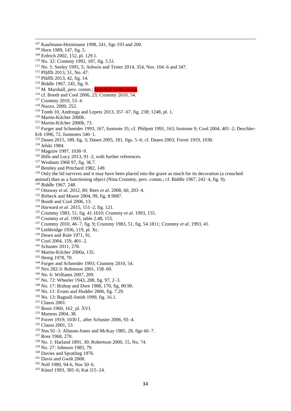- Kaufmann-Heinimann 1998, 241, figs 193 and 200.
- Horn 1989, 147, fig. 5.

- Erdrich 2002, 152, pl. 129.1.
- No. 32: Crummy 1992, 187, fig. 5.51.
- No. 5: Seeley 1995, 5; Ashwin and Tester 2014, 354, Nos. 104–6 and 347.
- Pfäffli 2013, 51, No. 47.
- Pfäffli 2013, 42, fig. 14.
- Biddle 1967, 245, fig. 9.
- <sup>115</sup> M. Marshall, pers. comm.; Marshall forthcoming.
- cf. Booth and Cool 2006, 23; Crummy 2010, 54.
- Crummy 2010, 53–4.
- Nuzzo, 2000, 252.
- Tomb 10, Andringa and Lepetz 2013, 357–67, fig. 238; 1248, pl. 1.
- Martin-Kilcher 2000b.
- Martin-Kilcher 2000b, 73.

<sup>122</sup> Furger and Schneider 1993, 167, footnote 35; cf. Philpott 1991, 163, footnote 9; Cool 2004, 401–2; Deschler-Erb 1996, 72, footnotes 540–1.

- Dasen 2015, 189, fig. 3; Dasen 2005, 181, figs. 5–6; cf. Dasen 2003; Forrer 1919, 1030.
- Jelski 1984.
- Maguire 1997, 1038–9.
- Hills and Lucy 2013, 91–2, with further references.
- Wenham 1968 97, fig. 36.7.
- <sup>128</sup> Bentley and Pritchard 1982, 149.

<sup>129</sup> Only the lid survives and it may have been placed into the grave as much for its decoration (a crouched animal) than as a functioning object (Nina Crummy, pers. comm.; cf. Biddle 1967, 242–4, fig. 9).

- Biddle 1967, 248.
- Ottaway *et al*. 2012, 80; Rees *et al*. 2008, 60, 203–4.
- Birbeck and Moore 2004, 99, fig. 8.9087.
- Booth and Cool 2006, 13.
- Harward *et al*. 2015, 151–2, fig. 121.
- Crummy 1983, 51, fig. 41.1610; Crummy *et al*. 1993, 155.
- Crummy *et al*. 1993, table 2.48, 155.
- Crummy 2010, 46–7, fig. 9; Crummy 1983, 51, fig. 54.1811; Crummy *et al*. 1993, 41.
- Lethbridge 1936, 119, pl. Xc.
- Down and Rule 1971, 91.
- Cool 2004, 159, 401-2.
- Schuster 2011, 278.
- Martin-Kilcher 2000a, 135.
- Henig 1978, 70.
- <sup>144</sup> Furger and Schneider 1993; Crummy 2010, 54.
- Nos 282-3: Robinson 2001, 158–60.
- No. 6: Williams 2007, 209.
- No. 72: Wheeler 1943, 288, fig. 97, 2–3.
- No. 17: Bishop and Dore 1988, 170, fig. 80.90.
- No. 11: Evans and Hodder 2006, fig. 7.29.
- <sup>150</sup> No. 13: Bagnall-Smith 1999, fig. 16.1.
- <sup>151</sup> Clauss 2001.
- Boon 1960, 162¸ pl. XVI.
- Martens 2004, 38.
- Forrer 1919, 1030 f., after Schuster 2006, 93–4.
- Clauss 2001, 53.
- Nos 92–3: Allason-Jones and McKay 1985, 28, figs 66–7.
- Ross 1968, 270.
- No. 1: Harland 1891, 30; Robertson 2000, 15, No. 74.
- No. 27: Johnson 1983, 79.
- Davies and Spratling 1976.
- <sup>161</sup> Davis and Gwilt 2008.
- Noll 1980, 94-6, Nos 50–6.
- Künzl 1993, 385–6; Kat J15–24.